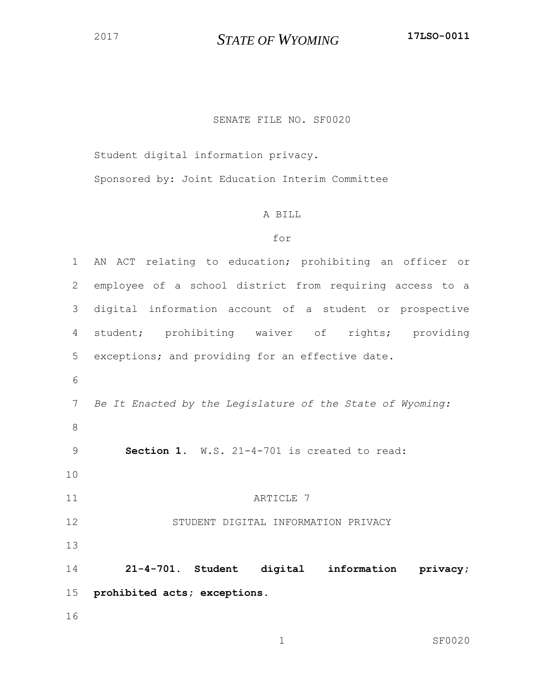## *STATE OF WYOMING* **17LSO-0011**

## SENATE FILE NO. SF0020

Student digital information privacy.

Sponsored by: Joint Education Interim Committee

## A BILL

## for

 AN ACT relating to education; prohibiting an officer or employee of a school district from requiring access to a digital information account of a student or prospective student; prohibiting waiver of rights; providing exceptions; and providing for an effective date. *Be It Enacted by the Legislature of the State of Wyoming:* **Section 1.** W.S. 21-4-701 is created to read: 11 ARTICLE 7 STUDENT DIGITAL INFORMATION PRIVACY **21-4-701. Student digital information privacy; prohibited acts; exceptions.**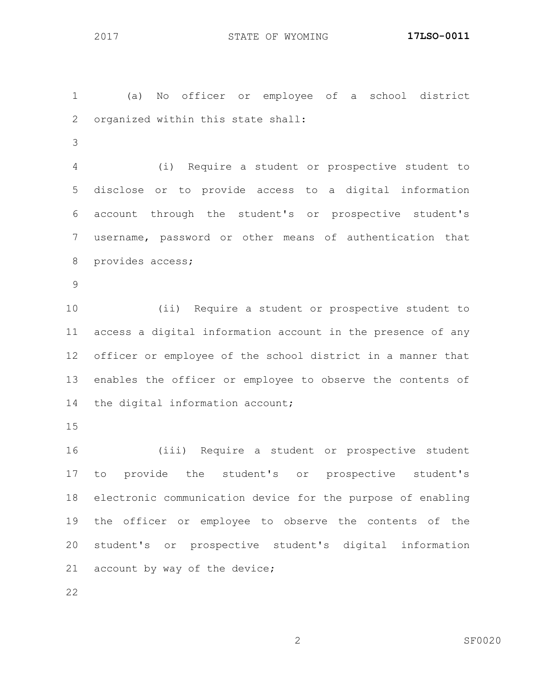(a) No officer or employee of a school district organized within this state shall:

 (i) Require a student or prospective student to disclose or to provide access to a digital information account through the student's or prospective student's username, password or other means of authentication that provides access;

 (ii) Require a student or prospective student to access a digital information account in the presence of any officer or employee of the school district in a manner that enables the officer or employee to observe the contents of 14 the digital information account;

 (iii) Require a student or prospective student to provide the student's or prospective student's electronic communication device for the purpose of enabling the officer or employee to observe the contents of the student's or prospective student's digital information 21 account by way of the device;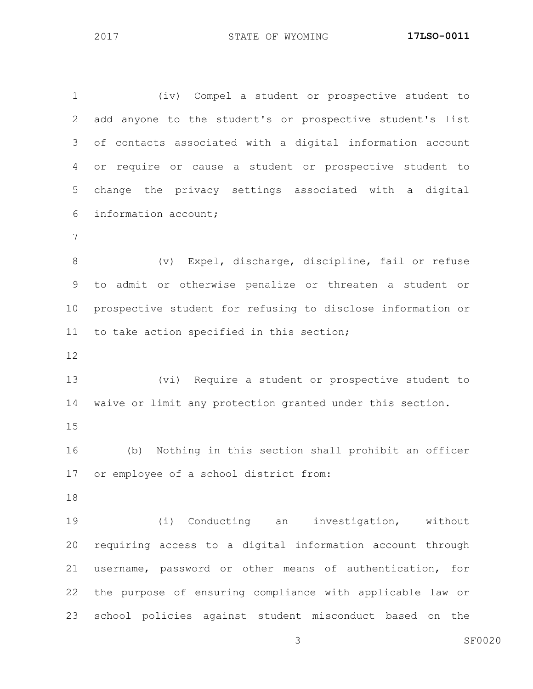(iv) Compel a student or prospective student to add anyone to the student's or prospective student's list of contacts associated with a digital information account or require or cause a student or prospective student to change the privacy settings associated with a digital information account; (v) Expel, discharge, discipline, fail or refuse to admit or otherwise penalize or threaten a student or prospective student for refusing to disclose information or to take action specified in this section; (vi) Require a student or prospective student to waive or limit any protection granted under this section. (b) Nothing in this section shall prohibit an officer or employee of a school district from: (i) Conducting an investigation, without requiring access to a digital information account through username, password or other means of authentication, for the purpose of ensuring compliance with applicable law or school policies against student misconduct based on the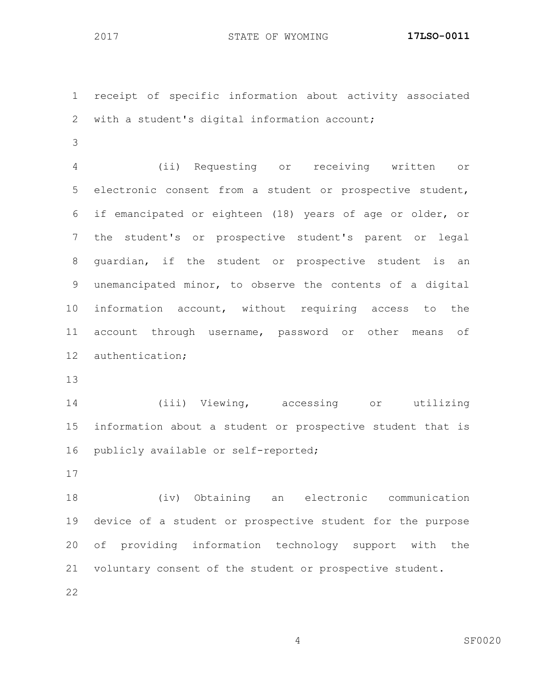receipt of specific information about activity associated with a student's digital information account;

 (ii) Requesting or receiving written or electronic consent from a student or prospective student, if emancipated or eighteen (18) years of age or older, or the student's or prospective student's parent or legal guardian, if the student or prospective student is an unemancipated minor, to observe the contents of a digital information account, without requiring access to the account through username, password or other means of authentication;

 (iii) Viewing, accessing or utilizing information about a student or prospective student that is publicly available or self-reported;

 (iv) Obtaining an electronic communication device of a student or prospective student for the purpose of providing information technology support with the voluntary consent of the student or prospective student.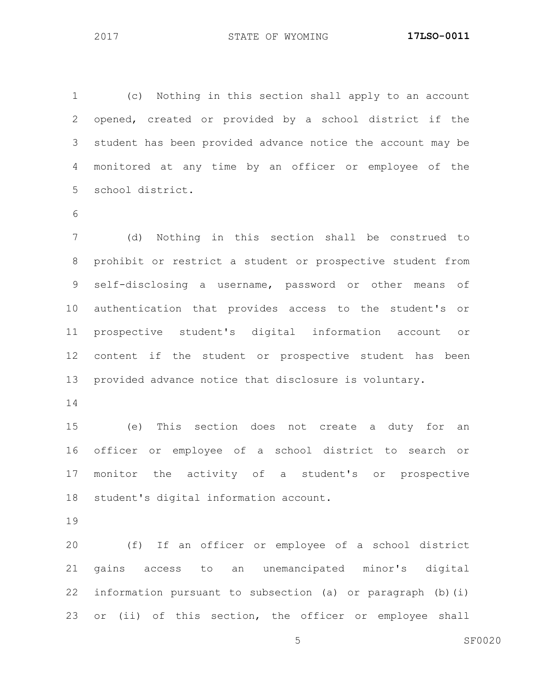(c) Nothing in this section shall apply to an account opened, created or provided by a school district if the student has been provided advance notice the account may be monitored at any time by an officer or employee of the school district.

 (d) Nothing in this section shall be construed to prohibit or restrict a student or prospective student from self-disclosing a username, password or other means of authentication that provides access to the student's or prospective student's digital information account or content if the student or prospective student has been provided advance notice that disclosure is voluntary.

 (e) This section does not create a duty for an officer or employee of a school district to search or monitor the activity of a student's or prospective student's digital information account.

 (f) If an officer or employee of a school district gains access to an unemancipated minor's digital information pursuant to subsection (a) or paragraph (b)(i) or (ii) of this section, the officer or employee shall